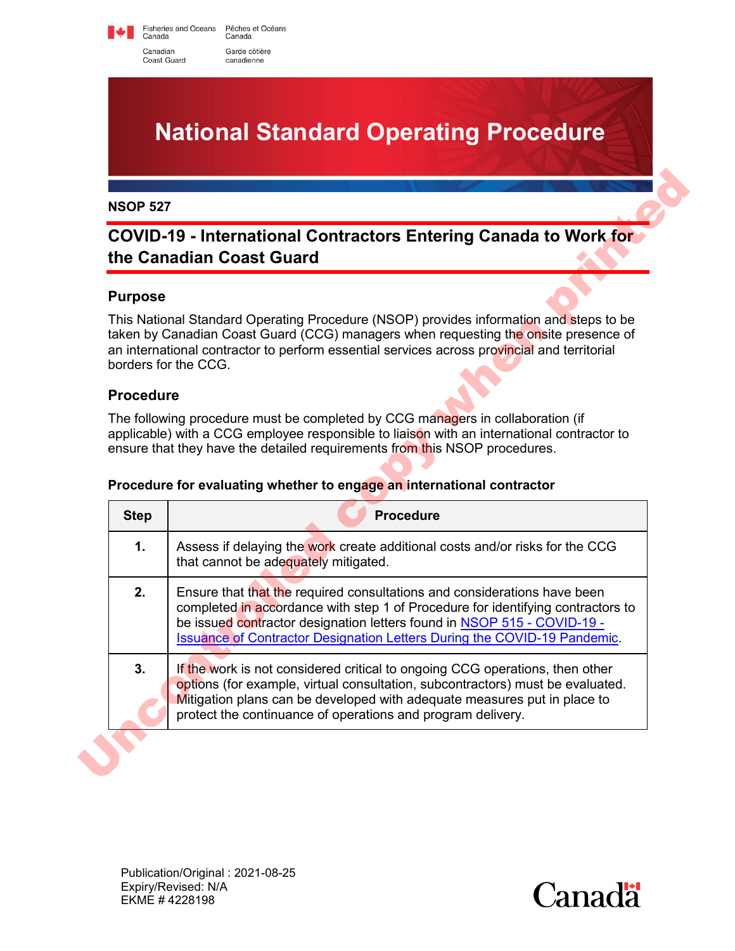Fisheries and Oceans Pêches et Océans<br>Canada Canada Canadian Garde côtière canadienne

Coast Guard

# **National Standard Operating Procedure**

# **COVID-19 - International Contractors Entering Canada to Work for the Canadian Coast Guard**

## **Purpose**

#### **Procedure**

| <b>COVID-19 - International Contractors Entering Canada to Work for</b><br>the Canadian Coast Guard |                                                                                                                                                                                                                                                                                                                    |
|-----------------------------------------------------------------------------------------------------|--------------------------------------------------------------------------------------------------------------------------------------------------------------------------------------------------------------------------------------------------------------------------------------------------------------------|
| <b>Purpose</b>                                                                                      |                                                                                                                                                                                                                                                                                                                    |
|                                                                                                     | This National Standard Operating Procedure (NSOP) provides information and steps to be<br>taken by Canadian Coast Guard (CCG) managers when requesting the onsite presence of<br>an international contractor to perform essential services across provincial and territorial<br>borders for the CCG.               |
| <b>Procedure</b>                                                                                    |                                                                                                                                                                                                                                                                                                                    |
|                                                                                                     | The following procedure must be completed by CCG managers in collaboration (if                                                                                                                                                                                                                                     |
|                                                                                                     | applicable) with a CCG employee responsible to liaison with an international contractor to<br>ensure that they have the detailed requirements from this NSOP procedures.<br>Procedure for evaluating whether to engage an international contractor                                                                 |
| <b>Step</b>                                                                                         | <b>Procedure</b>                                                                                                                                                                                                                                                                                                   |
| $\mathbf{1}$ .                                                                                      | Assess if delaying the work create additional costs and/or risks for the CCG<br>that cannot be adequately mitigated.                                                                                                                                                                                               |
| 2.                                                                                                  | Ensure that that the required consultations and considerations have been<br>completed in accordance with step 1 of Procedure for identifying contractors to<br>be issued contractor designation letters found in NSOP 515 - COVID-19 -<br>Issuance of Contractor Designation Letters During the COVID-19 Pandemic. |

#### **Procedure for evaluating whether to engage an international contractor**